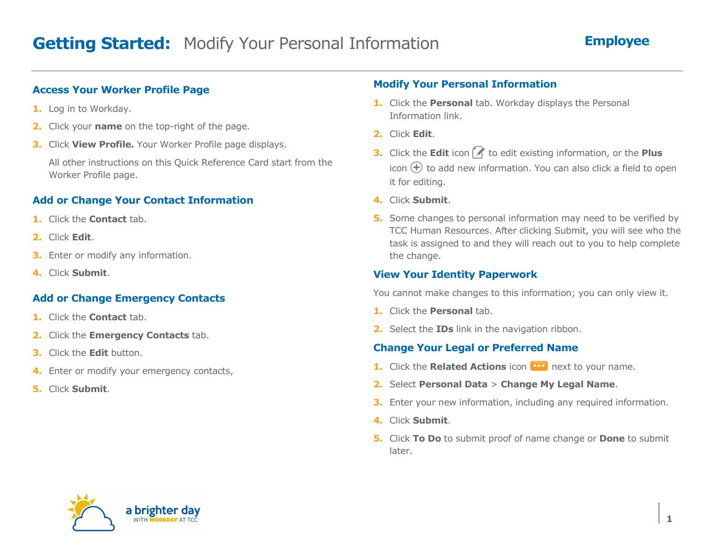### **Access Your Worker Profile Page**

- **1.** Log in to Workday.
- **2.** Click your **name** on the top-right of the page.
- **3.** Click **View Profile.** Your Worker Profile page displays.

All other instructions on this Quick Reference Card start from the Worker Profile page.

# **Add or Change Your Contact Information**

- **1.** Click the **Contact** tab.
- **2.** Click **Edit**.
- **3.** Enter or modify any information.
- **4.** Click **Submit**.

#### **Add or Change Emergency Contacts**

- **1.** Click the **Contact** tab.
- **2.** Click the **Emergency Contacts** tab.
- **3.** Click the **Edit** button.
- **4.** Enter or modify your emergency contacts,
- **5.** Click **Submit**.

### **Modify Your Personal Information**

- **1.** Click the **Personal** tab. Workday displays the Personal Information link.
- **2.** Click **Edit**.
- **3.** Click the **Edit** icon **1.** to edit existing information, or the **Plus** icon  $\bigoplus$  to add new information. You can also click a field to open it for editing.
- **4.** Click **Submit**.
- **5.** Some changes to personal information may need to be verified by TCC Human Resources. After clicking Submit, you will see who the task is assigned to and they will reach out to you to help complete the change.

# **View Your Identity Paperwork**

You cannot make changes to this information; you can only view it.

- **1.** Click the **Personal** tab.
- **2.** Select the **IDs** link in the navigation ribbon.

# **Change Your Legal or Preferred Name**

- **1.** Click the **Related Actions** icon **100** next to your name.
- **2.** Select **Personal Data** <sup>&</sup>gt;**Change My Legal Name**.
- **3.** Enter your new information, including any required information.
- **4.** Click **Submit**.
- **5.** Click **To Do** to submit proof of name change or **Done** to submit later.